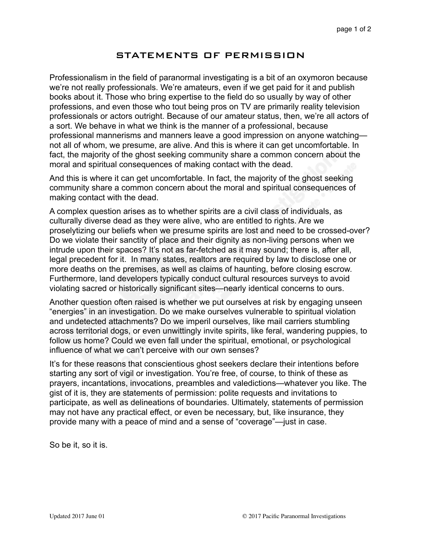## STATEMENTS OF PERMISSION

Professionalism in the field of paranormal investigating is a bit of an oxymoron because we're not really professionals. We're amateurs, even if we get paid for it and publish books about it. Those who bring expertise to the field do so usually by way of other professions, and even those who tout being pros on TV are primarily reality television professionals or actors outright. Because of our amateur status, then, we're all actors of a sort. We behave in what we think is the manner of a professional, because professional mannerisms and manners leave a good impression on anyone watching not all of whom, we presume, are alive. And this is where it can get uncomfortable. In fact, the majority of the ghost seeking community share a common concern about the moral and spiritual consequences of making contact with the dead.

And this is where it can get uncomfortable. In fact, the majority of the ghost seeking community share a common concern about the moral and spiritual consequences of making contact with the dead.

A complex question arises as to whether spirits are a civil class of individuals, as culturally diverse dead as they were alive, who are entitled to rights. Are we proselytizing our beliefs when we presume spirits are lost and need to be crossed-over? Do we violate their sanctity of place and their dignity as non-living persons when we intrude upon their spaces? It's not as far-fetched as it may sound; there is, after all, legal precedent for it. In many states, realtors are required by law to disclose one or more deaths on the premises, as well as claims of haunting, before closing escrow. Furthermore, land developers typically conduct cultural resources surveys to avoid violating sacred or historically significant sites—nearly identical concerns to ours.

Another question often raised is whether we put ourselves at risk by engaging unseen "energies" in an investigation. Do we make ourselves vulnerable to spiritual violation and undetected attachments? Do we imperil ourselves, like mail carriers stumbling across territorial dogs, or even unwittingly invite spirits, like feral, wandering puppies, to follow us home? Could we even fall under the spiritual, emotional, or psychological influence of what we can't perceive with our own senses?

It's for these reasons that conscientious ghost seekers declare their intentions before starting any sort of vigil or investigation. You're free, of course, to think of these as prayers, incantations, invocations, preambles and valedictions—whatever you like. The gist of it is, they are statements of permission: polite requests and invitations to participate, as well as delineations of boundaries. Ultimately, statements of permission may not have any practical effect, or even be necessary, but, like insurance, they provide many with a peace of mind and a sense of "coverage"—just in case.

So be it, so it is.